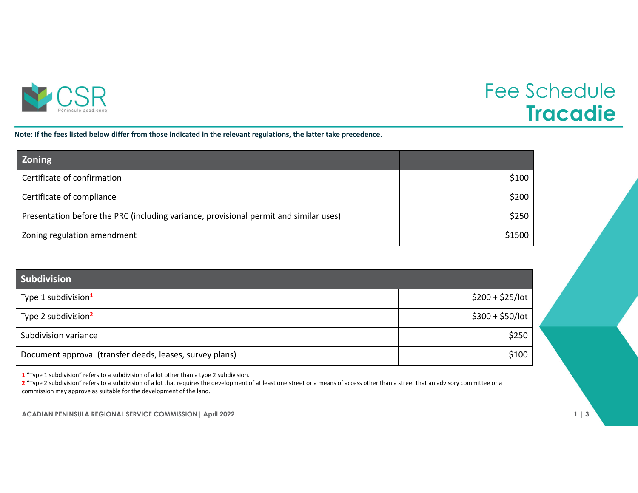

## Fee Schedule **Tracadie**

Note: If the fees listed below differ from those indicated in the relevant regulations, the latter take precedence.

| <b>Zoning</b>                                                                         |        |
|---------------------------------------------------------------------------------------|--------|
| Certificate of confirmation                                                           | \$100  |
| Certificate of compliance                                                             | \$200  |
| Presentation before the PRC (including variance, provisional permit and similar uses) | \$250  |
| Zoning regulation amendment                                                           | \$1500 |

| <b>Subdivision</b>                                       |                   |
|----------------------------------------------------------|-------------------|
| Type 1 subdivision <sup>1</sup>                          | $$200 + $25/$ lot |
| Type 2 subdivision <sup>2</sup>                          | $$300 + $50/$ lot |
| Subdivision variance                                     | \$250             |
| Document approval (transfer deeds, leases, survey plans) | \$100             |

**1** "Type 1 subdivision" refers to <sup>a</sup> subdivision of <sup>a</sup> lot other than <sup>a</sup> type 2 subdivision.

**2** "Type 2 subdivision" refers to <sup>a</sup> subdivision of <sup>a</sup> lot that requires the development of at least one street or <sup>a</sup> means of access other than <sup>a</sup> street that an advisory committee or <sup>a</sup> commission may approve as suitable for the development of the land.

**ACADIAN PENINSULA REGIONAL SERVICE COMMISSION| April 2022 1 | 3**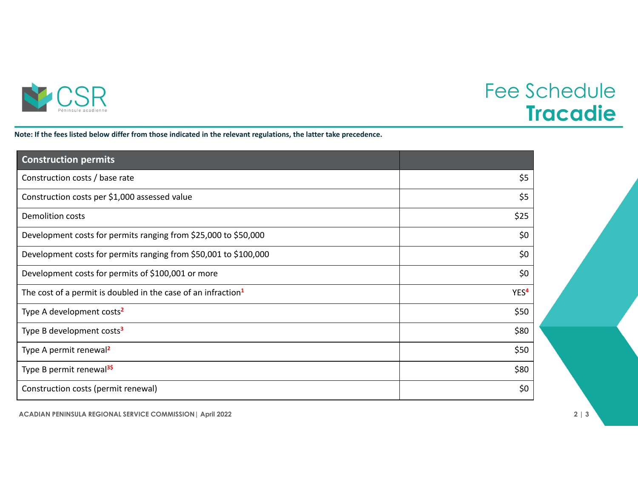

## Fee Schedule **Tracadie**

Note: If the fees listed below differ from those indicated in the relevant regulations, the latter take precedence.

| <b>Construction permits</b>                                               |                  |
|---------------------------------------------------------------------------|------------------|
| Construction costs / base rate                                            | \$5              |
| Construction costs per \$1,000 assessed value                             | \$5              |
| <b>Demolition costs</b>                                                   | \$25             |
| Development costs for permits ranging from \$25,000 to \$50,000           | \$0              |
| Development costs for permits ranging from \$50,001 to \$100,000          | \$0              |
| Development costs for permits of \$100,001 or more                        | \$0              |
| The cost of a permit is doubled in the case of an infraction <sup>1</sup> | YES <sup>4</sup> |
| Type A development costs <sup>2</sup>                                     | \$50             |
| Type B development costs <sup>3</sup>                                     | \$80             |
| Type A permit renewal <sup>2</sup>                                        | \$50             |
| Type B permit renewal <sup>3\$</sup>                                      | \$80             |
| Construction costs (permit renewal)                                       | \$0              |

**ACADIAN PENINSULA REGIONAL SERVICE COMMISSION| April 2022 2 | 3**